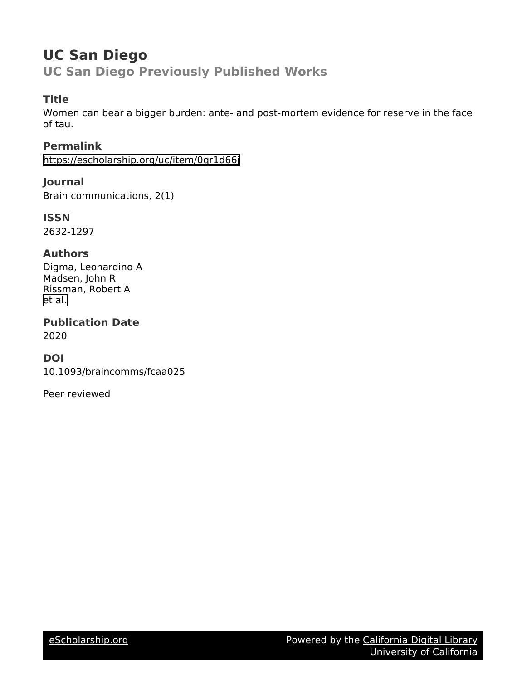# **UC San Diego UC San Diego Previously Published Works**

# **Title**

Women can bear a bigger burden: ante- and post-mortem evidence for reserve in the face of tau.

**Permalink** <https://escholarship.org/uc/item/0qr1d66j>

**Journal** Brain communications, 2(1)

**ISSN** 2632-1297

# **Authors**

Digma, Leonardino A Madsen, John R Rissman, Robert A [et al.](https://escholarship.org/uc/item/0qr1d66j#author)

**Publication Date** 2020

# **DOI**

10.1093/braincomms/fcaa025

Peer reviewed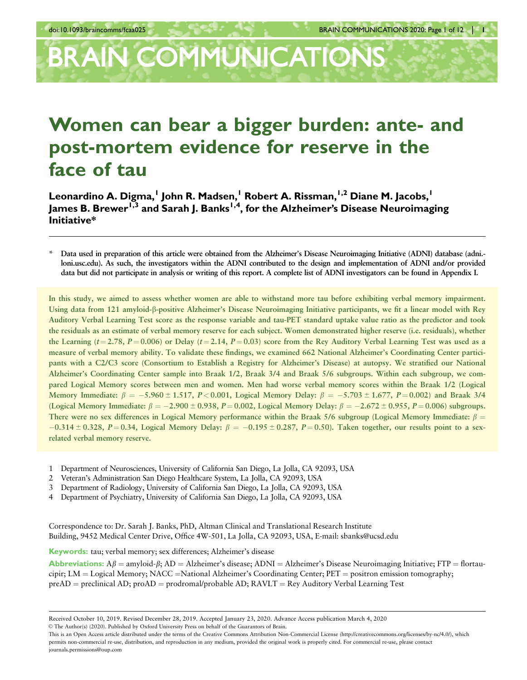# **BRAIN COMMUNICATIONS**

# Women can bear a bigger burden: ante- and post-mortem evidence for reserve in the face of tau

Leonardino A. Digma,<sup>1</sup> John R. Madsen,<sup>1</sup> Robert A. Rissman,<sup>1,2</sup> Diane M. Jacobs,<sup>1</sup> James B. Brewer<sup>1,3</sup> and Sarah J. Banks<sup>1,4</sup>, for the Alzheimer's Disease Neuroimaging Initiative\*

Data used in preparation of this article were obtained from the Alzheimer's Disease Neuroimaging Initiative (ADNI) database (adni.loni.usc.edu). As such, the investigators within the ADNI contributed to the design and implementation of ADNI and/or provided data but did not participate in analysis or writing of this report. A complete list of ADNI investigators can be found in Appendix I.

In this study, we aimed to assess whether women are able to withstand more tau before exhibiting verbal memory impairment. Using data from 121 amyloid-b-positive Alzheimer's Disease Neuroimaging Initiative participants, we fit a linear model with Rey Auditory Verbal Learning Test score as the response variable and tau-PET standard uptake value ratio as the predictor and took the residuals as an estimate of verbal memory reserve for each subject. Women demonstrated higher reserve (i.e. residuals), whether the Learning ( $t = 2.78$ ,  $P = 0.006$ ) or Delay ( $t = 2.14$ ,  $P = 0.03$ ) score from the Rey Auditory Verbal Learning Test was used as a measure of verbal memory ability. To validate these findings, we examined 662 National Alzheimer's Coordinating Center participants with a C2/C3 score (Consortium to Establish a Registry for Alzheimer's Disease) at autopsy. We stratified our National Alzheimer's Coordinating Center sample into Braak 1/2, Braak 3/4 and Braak 5/6 subgroups. Within each subgroup, we compared Logical Memory scores between men and women. Men had worse verbal memory scores within the Braak 1/2 (Logical Memory Immediate:  $\beta = -5.960 \pm 1.517, P < 0.001$ , Logical Memory Delay:  $\beta = -5.703 \pm 1.677, P = 0.002$ ) and Braak 3/4 (Logical Memory Immediate:  $\beta = -2.900 \pm 0.938$ ,  $P = 0.002$ , Logical Memory Delay:  $\beta = -2.672 \pm 0.955$ ,  $P = 0.006$ ) subgroups. There were no sex differences in Logical Memory performance within the Braak 5/6 subgroup (Logical Memory Immediate:  $\beta$  =  $-0.314 \pm 0.328$ , P  $= 0.34$ , Logical Memory Delay:  $\beta = -0.195 \pm 0.287$ , P  $= 0.50$ ). Taken together, our results point to a sexrelated verbal memory reserve.

- 1 Department of Neurosciences, University of California San Diego, La Jolla, CA 92093, USA
- 2 Veteran's Administration San Diego Healthcare System, La Jolla, CA 92093, USA
- 3 Department of Radiology, University of California San Diego, La Jolla, CA 92093, USA
- 4 Department of Psychiatry, University of California San Diego, La Jolla, CA 92093, USA

Correspondence to: Dr. Sarah J. Banks, PhD, Altman Clinical and Translational Research Institute Building, 9452 Medical Center Drive, Office 4W-501, La Jolla, CA 92093, USA, E-mail: sbanks@ucsd.edu

Keywords: tau; verbal memory; sex differences; Alzheimer's disease

**Abbreviations:**  $A\beta$  = amyloid- $\beta$ ; AD = Alzheimer's disease; ADNI = Alzheimer's Disease Neuroimaging Initiative; FTP = flortaucipir; LM = Logical Memory; NACC = National Alzheimer's Coordinating Center;  $PET =$  positron emission tomography;  $preAD = preclinical AD; proAD = prodromal/probable AD; RAVLT = Rey Auditory Verbal Learning Test$ 

Received October 10, 2019. Revised December 28, 2019. Accepted January 23, 2020. Advance Access publication March 4, 2020 V<sup>C</sup> The Author(s) (2020). Published by Oxford University Press on behalf of the Guarantors of Brain.

This is an Open Access article distributed under the terms of the Creative Commons Attribution Non-Commercial License (http://creativecommons.org/licenses/by-nc/4.0/), which permits non-commercial re-use, distribution, and reproduction in any medium, provided the original work is properly cited. For commercial re-use, please contact journals.permissions@oup.com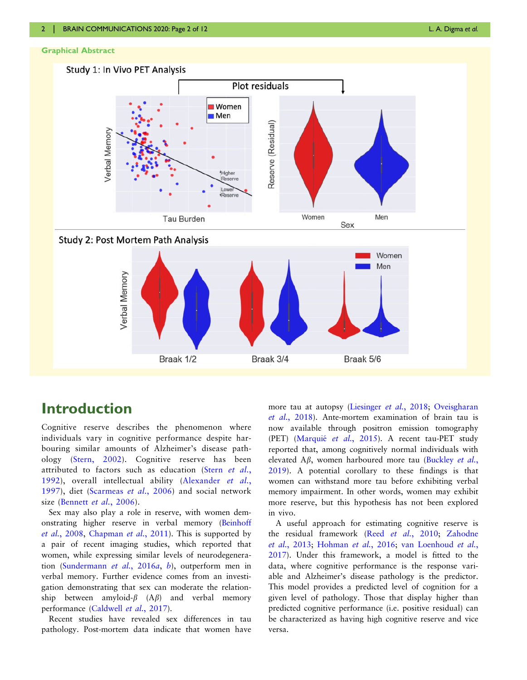## Graphical Abstract



# Introduction

Cognitive reserve describes the phenomenon where individuals vary in cognitive performance despite harbouring similar amounts of Alzheimer's disease pathology ([Stern, 2002\)](#page-9-0). Cognitive reserve has been attributed to factors such as education (Stern [et al.](#page-9-0), [1992\)](#page-9-0), overall intellectual ability [\(Alexander](#page-8-0) et al., [1997\)](#page-8-0), diet [\(Scarmeas](#page-9-0) et al., 2006) and social network size ([Bennett](#page-8-0) et al., 2006).

Sex may also play a role in reserve, with women demonstrating higher reserve in verbal memory ([Beinhoff](#page-8-0) et al.[, 2008,](#page-8-0) [Chapman](#page-9-0) et al., 2011). This is supported by a pair of recent imaging studies, which reported that women, while expressing similar levels of neurodegeneration ([Sundermann](#page-9-0) et al., 2016a, [b](#page-9-0)), outperform men in verbal memory. Further evidence comes from an investigation demonstrating that sex can moderate the relationship between amyloid- $\beta$  (A $\beta$ ) and verbal memory performance [\(Caldwell](#page-8-0) et al., 2017).

Recent studies have revealed sex differences in tau pathology. Post-mortem data indicate that women have more tau at autopsy ([Liesinger](#page-9-0) et al., 2018; [Oveisgharan](#page-9-0) et al.[, 2018\)](#page-9-0). Ante-mortem examination of brain tau is now available through positron emission tomography (PET) (Marquié et al., 2015). A recent tau-PET study reported that, among cognitively normal individuals with elevated  $\Delta \beta$ , women harboured more tau ([Buckley](#page-8-0) et al., [2019](#page-8-0)). A potential corollary to these findings is that women can withstand more tau before exhibiting verbal memory impairment. In other words, women may exhibit more reserve, but this hypothesis has not been explored in vivo.

A useful approach for estimating cognitive reserve is the residual framework (Reed et al.[, 2010](#page-9-0); [Zahodne](#page-9-0) et al.[, 2013;](#page-9-0) [Hohman](#page-9-0) et al., 2016; [van Loenhoud](#page-9-0) et al., [2017](#page-9-0)). Under this framework, a model is fitted to the data, where cognitive performance is the response variable and Alzheimer's disease pathology is the predictor. This model provides a predicted level of cognition for a given level of pathology. Those that display higher than predicted cognitive performance (i.e. positive residual) can be characterized as having high cognitive reserve and vice versa.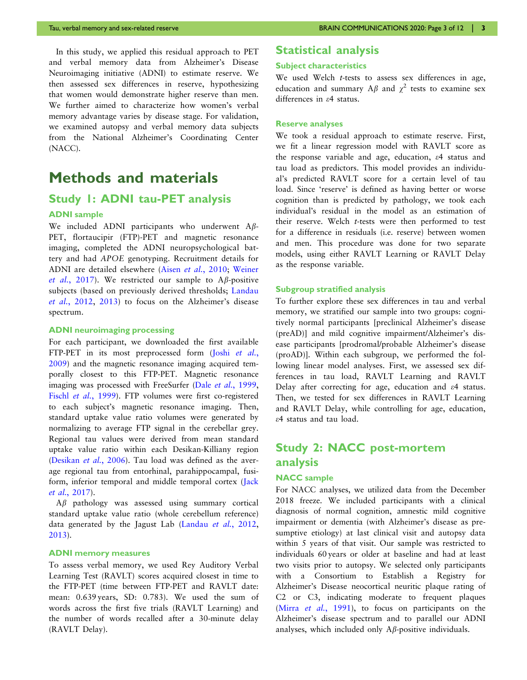In this study, we applied this residual approach to PET and verbal memory data from Alzheimer's Disease Neuroimaging initiative (ADNI) to estimate reserve. We then assessed sex differences in reserve, hypothesizing that women would demonstrate higher reserve than men. We further aimed to characterize how women's verbal memory advantage varies by disease stage. For validation, we examined autopsy and verbal memory data subjects from the National Alzheimer's Coordinating Center (NACC).

# Methods and materials

# Study 1: ADNI tau-PET analysis

## ADNI sample

We included ADNI participants who underwent A<sub>B</sub>-PET, flortaucipir (FTP)-PET and magnetic resonance imaging, completed the ADNI neuropsychological battery and had APOE genotyping. Recruitment details for ADNI are detailed elsewhere (Aisen et al.[, 2010](#page-8-0); [Weiner](#page-9-0) et al.[, 2017\)](#page-9-0). We restricted our sample to A $\beta$ -positive subjects (based on previously derived thresholds; [Landau](#page-9-0) et al.[, 2012](#page-9-0), [2013](#page-9-0)) to focus on the Alzheimer's disease spectrum.

#### ADNI neuroimaging processing

For each participant, we downloaded the first available FTP-PET in its most preprocessed form (Joshi [et al.](#page-9-0), [2009\)](#page-9-0) and the magnetic resonance imaging acquired temporally closest to this FTP-PET. Magnetic resonance imaging was processed with FreeSurfer (Dale et al.[, 1999](#page-9-0), Fischl et al.[, 1999\)](#page-9-0). FTP volumes were first co-registered to each subject's magnetic resonance imaging. Then, standard uptake value ratio volumes were generated by normalizing to average FTP signal in the cerebellar grey. Regional tau values were derived from mean standard uptake value ratio within each Desikan-Killiany region ([Desikan](#page-9-0) et al., 2006). Tau load was defined as the average regional tau from entorhinal, parahippocampal, fusiform, inferior temporal and middle temporal cortex ([Jack](#page-9-0) et al.[, 2017](#page-9-0)).

 $A\beta$  pathology was assessed using summary cortical standard uptake value ratio (whole cerebellum reference) data generated by the Jagust Lab ([Landau](#page-9-0) et al., 2012, [2013\)](#page-9-0).

## ADNI memory measures

To assess verbal memory, we used Rey Auditory Verbal Learning Test (RAVLT) scores acquired closest in time to the FTP-PET (time between FTP-PET and RAVLT date: mean: 0.639 years, SD: 0.783). We used the sum of words across the first five trials (RAVLT Learning) and the number of words recalled after a 30-minute delay (RAVLT Delay).

## Statistical analysis

#### Subject characteristics

We used Welch *t*-tests to assess sex differences in age, education and summary A $\beta$  and  $\gamma^2$  tests to examine sex differences in e4 status.

## Reserve analyses

We took a residual approach to estimate reserve. First, we fit a linear regression model with RAVLT score as the response variable and age, education, e4 status and tau load as predictors. This model provides an individual's predicted RAVLT score for a certain level of tau load. Since 'reserve' is defined as having better or worse cognition than is predicted by pathology, we took each individual's residual in the model as an estimation of their reserve. Welch t-tests were then performed to test for a difference in residuals (i.e. reserve) between women and men. This procedure was done for two separate models, using either RAVLT Learning or RAVLT Delay as the response variable.

#### Subgroup stratified analysis

To further explore these sex differences in tau and verbal memory, we stratified our sample into two groups: cognitively normal participants [preclinical Alzheimer's disease (preAD)] and mild cognitive impairment/Alzheimer's disease participants [prodromal/probable Alzheimer's disease (proAD)]. Within each subgroup, we performed the following linear model analyses. First, we assessed sex differences in tau load, RAVLT Learning and RAVLT Delay after correcting for age, education and  $\varepsilon$ 4 status. Then, we tested for sex differences in RAVLT Learning and RAVLT Delay, while controlling for age, education, e4 status and tau load.

# Study 2: NACC post-mortem analysis

## NACC sample

For NACC analyses, we utilized data from the December 2018 freeze. We included participants with a clinical diagnosis of normal cognition, amnestic mild cognitive impairment or dementia (with Alzheimer's disease as presumptive etiology) at last clinical visit and autopsy data within 5 years of that visit. Our sample was restricted to individuals 60 years or older at baseline and had at least two visits prior to autopsy. We selected only participants with a Consortium to Establish a Registry for Alzheimer's Disease neocortical neuritic plaque rating of C2 or C3, indicating moderate to frequent plaques (Mirra et al.[, 1991](#page-9-0)), to focus on participants on the Alzheimer's disease spectrum and to parallel our ADNI analyses, which included only  $A\beta$ -positive individuals.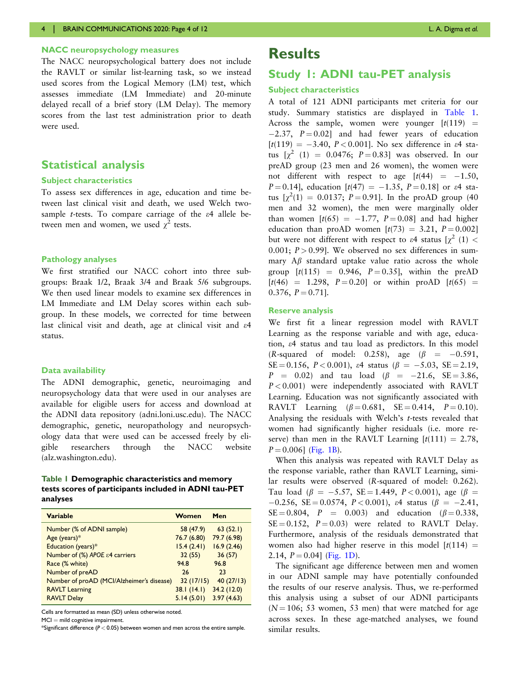## NACC neuropsychology measures

The NACC neuropsychological battery does not include the RAVLT or similar list-learning task, so we instead used scores from the Logical Memory (LM) test, which assesses immediate (LM Immediate) and 20-minute delayed recall of a brief story (LM Delay). The memory scores from the last test administration prior to death were used.

# Statistical analysis

#### Subject characteristics

To assess sex differences in age, education and time between last clinical visit and death, we used Welch twosample *t*-tests. To compare carriage of the  $\varepsilon$ 4 allele between men and women, we used  $\chi^2$  tests.

## Pathology analyses

We first stratified our NACC cohort into three subgroups: Braak 1/2, Braak 3/4 and Braak 5/6 subgroups. We then used linear models to examine sex differences in LM Immediate and LM Delay scores within each subgroup. In these models, we corrected for time between last clinical visit and death, age at clinical visit and  $\varepsilon$ 4 status.

## Data availability

The ADNI demographic, genetic, neuroimaging and neuropsychology data that were used in our analyses are available for eligible users for access and download at the ADNI data repository (adni.loni.usc.edu). The NACC demographic, genetic, neuropathology and neuropsychology data that were used can be accessed freely by eligible researchers through the NACC website (alz.washington.edu).

## Table 1 Demographic characteristics and memory tests scores of participants included in ADNI tau-PET analyses

| <b>Variable</b>                           | Women       | Men         |
|-------------------------------------------|-------------|-------------|
| Number (% of ADNI sample)                 | 58 (47.9)   | 63(52.1)    |
| Age (years) $*$                           | 76.7 (6.80) | 79.7 (6.98) |
| Education (years)*                        | 15.4(2.41)  | 16.9(2.46)  |
| Number of (%) APOE ε4 carriers            | 32(55)      | 36(57)      |
| Race (% white)                            | 94.8        | 96.8        |
| Number of preAD                           | 26          | 23          |
| Number of proAD (MCI/Alzheimer's disease) | 32(17/15)   | 40(27/13)   |
| <b>RAVLT Learning</b>                     | 38.1(14.1)  | 34.2(12.0)  |
| <b>RAVLT Delay</b>                        | 5.14(5.01)  | 3.97(4.63)  |

Cells are formatted as mean (SD) unless otherwise noted.

 $MCI = mild$  cognitive impairment.

\*Significant difference ( $P < 0.05$ ) between women and men across the entire sample.

# **Results**

# Study 1: ADNI tau-PET analysis

#### Subject characteristics

A total of 121 ADNI participants met criteria for our study. Summary statistics are displayed in Table 1. Across the sample, women were younger  $[t(119) =$  $[-2.37, P = 0.02]$  and had fewer years of education  $[t(119) = -3.40, P < 0.001]$ . No sex difference in  $\varepsilon$ 4 status  $[\chi^2 (1) = 0.0476; P = 0.83]$  was observed. In our preAD group (23 men and 26 women), the women were not different with respect to age  $[t(44) = -1.50,$  $P = 0.14$ , education  $[t(47) = -1.35, P = 0.18]$  or  $\varepsilon$ 4 status  $[\chi^2(1) = 0.0137; P = 0.91]$ . In the proAD group (40) men and 32 women), the men were marginally older than women  $[t(65) = -1.77, P = 0.08]$  and had higher education than proAD women  $[t(73) = 3.21, P = 0.002]$ but were not different with respect to  $\varepsilon$ 4 status  $[\chi^2 (1)$  < 0.001;  $P > 0.99$ ]. We observed no sex differences in summary  $A\beta$  standard uptake value ratio across the whole group  $[t(115) = 0.946, P = 0.35]$ , within the preAD  $[t(46) = 1.298, P = 0.20]$  or within proAD  $[t(65) =$ 0.376,  $P = 0.71$ ].

#### Reserve analysis

We first fit a linear regression model with RAVLT Learning as the response variable and with age, education, e4 status and tau load as predictors. In this model (R-squared of model: 0.258), age ( $\beta$  = -0.591,  $SE = 0.156, P < 0.001$ ),  $\varepsilon4$  status ( $\beta = -5.03, SE = 2.19$ ,  $P = 0.02$ ) and tau load ( $\beta = -21.6$ , SE=3.86,  $P < 0.001$ ) were independently associated with RAVLT Learning. Education was not significantly associated with RAVLT Learning  $(\beta = 0.681, \text{ SE} = 0.414, P = 0.10).$ Analysing the residuals with Welch's t-tests revealed that women had significantly higher residuals (i.e. more reserve) than men in the RAVLT Learning  $[t(111) = 2.78,$  $P = 0.006$  ([Fig. 1B\)](#page-5-0).

When this analysis was repeated with RAVLT Delay as the response variable, rather than RAVLT Learning, similar results were observed (R-squared of model: 0.262). Tau load ( $\beta = -5.57$ , SE=1.449, P<0.001), age ( $\beta =$  $-0.256$ , SE = 0.0574, P < 0.001), e4 status ( $\beta = -2.41$ ,  $SE = 0.804$ ,  $P = 0.003$  and education ( $\beta = 0.338$ ,  $SE = 0.152$ ,  $P = 0.03$ ) were related to RAVLT Delay. Furthermore, analysis of the residuals demonstrated that women also had higher reserve in this model  $[t(114) =$ 2.14,  $P = 0.04$  [\(Fig. 1D\)](#page-5-0).

The significant age difference between men and women in our ADNI sample may have potentially confounded the results of our reserve analysis. Thus, we re-performed this analysis using a subset of our ADNI participants  $(N = 106; 53$  women, 53 men) that were matched for age across sexes. In these age-matched analyses, we found similar results.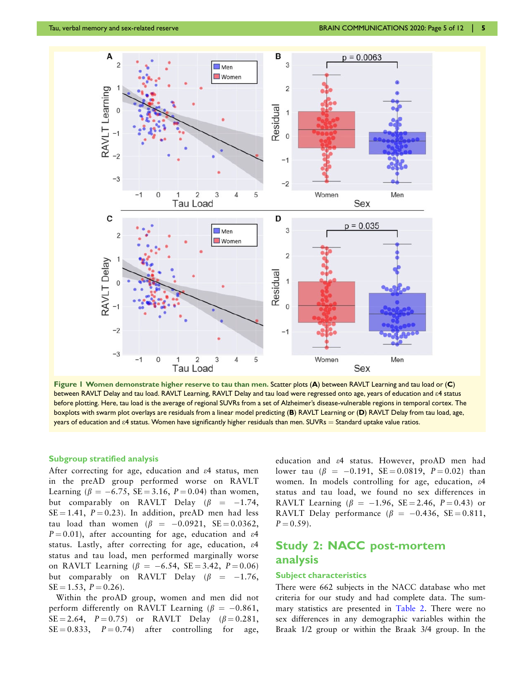<span id="page-5-0"></span>

Figure 1 Women demonstrate higher reserve to tau than men. Scatter plots (A) between RAVLT Learning and tau load or (C) between RAVLT Delay and tau load. RAVLT Learning, RAVLT Delay and tau load were regressed onto age, years of education and e4 status before plotting. Here, tau load is the average of regional SUVRs from a set of Alzheimer's disease-vulnerable regions in temporal cortex. The boxplots with swarm plot overlays are residuals from a linear model predicting (B) RAVLT Learning or (D) RAVLT Delay from tau load, age, years of education and  $\epsilon$ 4 status. Women have significantly higher residuals than men. SUVRs = Standard uptake value ratios.

#### Subgroup stratified analysis

After correcting for age, education and e4 status, men in the preAD group performed worse on RAVLT Learning ( $\beta = -6.75$ , SE = 3.16, P = 0.04) than women, but comparably on RAVLT Delay ( $\beta$  = –1.74,  $SE = 1.41$ ,  $P = 0.23$ ). In addition, preAD men had less tau load than women ( $\beta$  =  $-0.0921,$  SE=0.0362,  $P = 0.01$ , after accounting for age, education and  $\varepsilon$ 4 status. Lastly, after correcting for age, education, e4 status and tau load, men performed marginally worse on RAVLT Learning ( $\beta = -6.54$ , SE=3.42, P=0.06) but comparably on RAVLT Delay ( $\beta$  = –1.76,  $SE = 1.53$ ,  $P = 0.26$ .

Within the proAD group, women and men did not perform differently on RAVLT Learning ( $\beta = -0.861,$  $SE = 2.64$ ,  $P = 0.75$  or RAVLT Delay ( $\beta = 0.281$ ,  $SE = 0.833$ ,  $P = 0.74$  after controlling for age, education and e4 status. However, proAD men had lower tau ( $\beta = -0.191$ , SE = 0.0819, P = 0.02) than women. In models controlling for age, education, e4 status and tau load, we found no sex differences in RAVLT Learning ( $\beta = -1.96$ , SE = 2.46, P = 0.43) or RAVLT Delay performance ( $\beta$  = -0.436, SE = 0.811,  $P = 0.59$ .

# Study 2: NACC post-mortem analysis

## Subject characteristics

There were 662 subjects in the NACC database who met criteria for our study and had complete data. The summary statistics are presented in [Table 2](#page-6-0). There were no sex differences in any demographic variables within the Braak 1/2 group or within the Braak 3/4 group. In the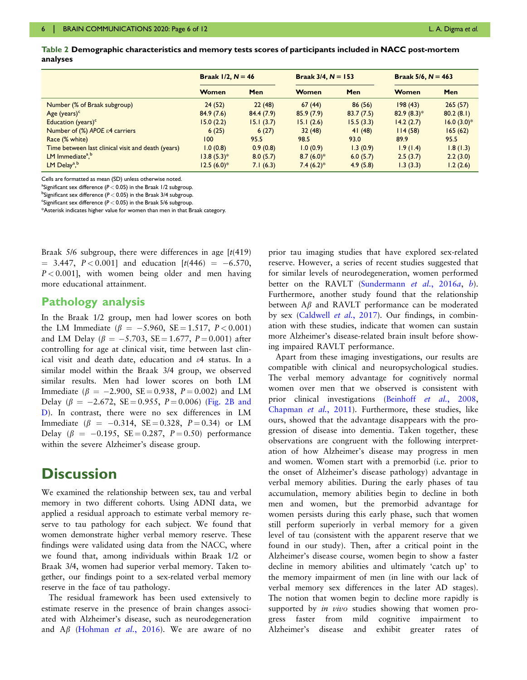<span id="page-6-0"></span>

|          | Table 2 Demographic characteristics and memory tests scores of participants included in NACC post-mortem |  |  |
|----------|----------------------------------------------------------------------------------------------------------|--|--|
| analyses |                                                                                                          |  |  |

|                                                    | <b>Braak <math>1/2</math>, <math>N = 46</math></b> |           | <b>Braak 3/4, <math>N = 153</math></b> |            | <b>Braak 5/6, <math>N = 463</math></b> |                |
|----------------------------------------------------|----------------------------------------------------|-----------|----------------------------------------|------------|----------------------------------------|----------------|
|                                                    | Women                                              | Men       | Women                                  | <b>Men</b> | Women                                  | Men            |
| Number (% of Braak subgroup)                       | 24(52)                                             | 22(48)    | 67(44)                                 | 86(56)     | 198(43)                                | 265(57)        |
| Age $(years)^c$                                    | 84.9(7.6)                                          | 84.4(7.9) | 85.9(7.9)                              | 83.7(7.5)  | $82.9(8.3)*$                           | 80.2(8.1)      |
| Education (years) $c$                              | 15.0(2.2)                                          | 15.1(3.7) | 15.1(2.6)                              | 15.5(3.3)  | 14.2(2.7)                              | $16.0 (3.0)^*$ |
| Number of $%$ APOE $\varepsilon$ 4 carriers        | 6(25)                                              | 6(27)     | 32(48)                                 | 41(48)     | 114(58)                                | 165(62)        |
| Race (% white)                                     | 100                                                | 95.5      | 98.5                                   | 93.0       | 89.9                                   | 95.5           |
| Time between last clinical visit and death (years) | 1.0(0.8)                                           | 0.9(0.8)  | 1.0(0.9)                               | 1.3(0.9)   | 1.9(1.4)                               | 1.8(1.3)       |
| LM Immediate <sup>a</sup> , <sup>b</sup>           | $13.8(5.3)*$                                       | 8.0(5.7)  | $8.7(6.0)$ *                           | 6.0(5.7)   | 2.5(3.7)                               | 2.2(3.0)       |
| LM Delay <sup>a, b</sup>                           | $12.5(6.0)$ *                                      | 7.1(6.3)  | $7.4(6.2)*$                            | 4.9(5.8)   | 1.3(3.3)                               | 1.2(2.6)       |

Cells are formatted as mean (SD) unless otherwise noted.

<sup>a</sup>Significant sex difference ( $P < 0.05$ ) in the Braak 1/2 subgroup.

 $^{\rm b}$ Significant sex difference ( $P$   $<$  0.05) in the Braak 3/4 subgroup.

<sup>c</sup>Significant sex difference ( $P < 0.05$ ) in the Braak 5/6 subgroup.

\*Asterisk indicates higher value for women than men in that Braak category.

Braak  $5/6$  subgroup, there were differences in age  $[t(419)]$  $= 3.447, P < 0.001$ ] and education  $[t(446) = -6.570,$  $P < 0.001$ , with women being older and men having more educational attainment.

## Pathology analysis

In the Braak 1/2 group, men had lower scores on both the LM Immediate ( $\beta = -5.960, \text{ SE} = 1.517, P < 0.001$ ) and LM Delay ( $\beta = -5.703, \text{ SE} \!=\! 1.677, \text{ } P \!=\! 0.001)$  after controlling for age at clinical visit, time between last clinical visit and death date, education and e4 status. In a similar model within the Braak 3/4 group, we observed similar results. Men had lower scores on both LM Immediate ( $\beta = -2.900, \text{ SE} = 0.938, P = 0.002$ ) and LM Delay ( $\beta = -2.672$ , SE=0.955, P=0.006) ([Fig. 2B and](#page-7-0) [D\)](#page-7-0). In contrast, there were no sex differences in LM Immediate ( $\beta = -0.314$ , SE = 0.328, P = 0.34) or LM Delay ( $\beta = -0.195$ , SE = 0.287, P = 0.50) performance within the severe Alzheimer's disease group.

# **Discussion**

We examined the relationship between sex, tau and verbal memory in two different cohorts. Using ADNI data, we applied a residual approach to estimate verbal memory reserve to tau pathology for each subject. We found that women demonstrate higher verbal memory reserve. These findings were validated using data from the NACC, where we found that, among individuals within Braak 1/2 or Braak 3/4, women had superior verbal memory. Taken together, our findings point to a sex-related verbal memory reserve in the face of tau pathology.

The residual framework has been used extensively to estimate reserve in the presence of brain changes associated with Alzheimer's disease, such as neurodegeneration and  $\overrightarrow{AB}$  ([Hohman](#page-9-0) *et al.*, 2016). We are aware of no prior tau imaging studies that have explored sex-related reserve. However, a series of recent studies suggested that for similar levels of neurodegeneration, women performed better on the RAVLT ([Sundermann](#page-9-0) et al., 2016a, [b](#page-9-0)). Furthermore, another study found that the relationship between  $A\beta$  and RAVLT performance can be moderated by sex ([Caldwell](#page-8-0) et al., 2017). Our findings, in combination with these studies, indicate that women can sustain more Alzheimer's disease-related brain insult before showing impaired RAVLT performance.

Apart from these imaging investigations, our results are compatible with clinical and neuropsychological studies. The verbal memory advantage for cognitively normal women over men that we observed is consistent with prior clinical investigations ([Beinhoff](#page-8-0) et al., 2008, [Chapman](#page-9-0) et al., 2011). Furthermore, these studies, like ours, showed that the advantage disappears with the progression of disease into dementia. Taken together, these observations are congruent with the following interpretation of how Alzheimer's disease may progress in men and women. Women start with a premorbid (i.e. prior to the onset of Alzheimer's disease pathology) advantage in verbal memory abilities. During the early phases of tau accumulation, memory abilities begin to decline in both men and women, but the premorbid advantage for women persists during this early phase, such that women still perform superiorly in verbal memory for a given level of tau (consistent with the apparent reserve that we found in our study). Then, after a critical point in the Alzheimer's disease course, women begin to show a faster decline in memory abilities and ultimately 'catch up' to the memory impairment of men (in line with our lack of verbal memory sex differences in the later AD stages). The notion that women begin to decline more rapidly is supported by *in vivo* studies showing that women progress faster from mild cognitive impairment to Alzheimer's disease and exhibit greater rates of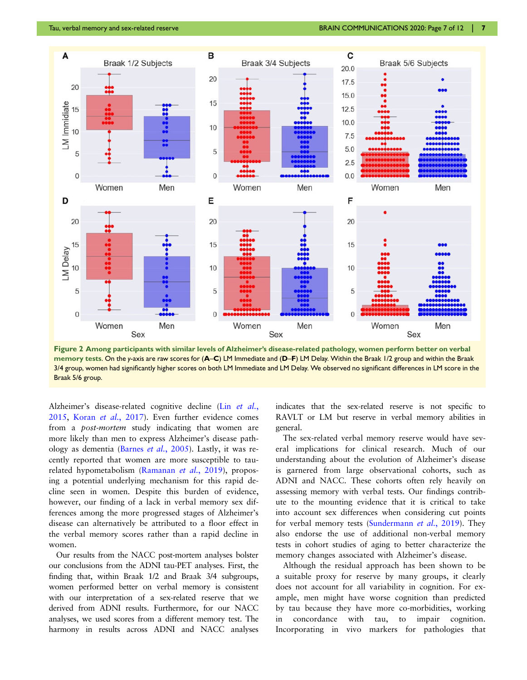<span id="page-7-0"></span>

Figure 2 Among participants with similar levels of Alzheimer's disease-related pathology, women perform better on verbal memory tests. On the y-axis are raw scores for (A–C) LM Immediate and (D–F) LM Delay. Within the Braak 1/2 group and within the Braak 3/4 group, women had significantly higher scores on both LM Immediate and LM Delay. We observed no significant differences in LM score in the Braak 5/6 group.

Alzheimer's disease-related cognitive decline (Lin [et al.](#page-9-0), [2015,](#page-9-0) Koran et al.[, 2017](#page-9-0)). Even further evidence comes from a *post-mortem* study indicating that women are more likely than men to express Alzheimer's disease pathology as dementia (Barnes et al.[, 2005\)](#page-8-0). Lastly, it was recently reported that women are more susceptible to taurelated hypometabolism [\(Ramanan](#page-9-0) et al., 2019), proposing a potential underlying mechanism for this rapid decline seen in women. Despite this burden of evidence, however, our finding of a lack in verbal memory sex differences among the more progressed stages of Alzheimer's disease can alternatively be attributed to a floor effect in the verbal memory scores rather than a rapid decline in women.

Our results from the NACC post-mortem analyses bolster our conclusions from the ADNI tau-PET analyses. First, the finding that, within Braak 1/2 and Braak 3/4 subgroups, women performed better on verbal memory is consistent with our interpretation of a sex-related reserve that we derived from ADNI results. Furthermore, for our NACC analyses, we used scores from a different memory test. The harmony in results across ADNI and NACC analyses indicates that the sex-related reserve is not specific to RAVLT or LM but reserve in verbal memory abilities in general.

The sex-related verbal memory reserve would have several implications for clinical research. Much of our understanding about the evolution of Alzheimer's disease is garnered from large observational cohorts, such as ADNI and NACC. These cohorts often rely heavily on assessing memory with verbal tests. Our findings contribute to the mounting evidence that it is critical to take into account sex differences when considering cut points for verbal memory tests [\(Sundermann](#page-9-0) *et al.*, 2019). They also endorse the use of additional non-verbal memory tests in cohort studies of aging to better characterize the memory changes associated with Alzheimer's disease.

Although the residual approach has been shown to be a suitable proxy for reserve by many groups, it clearly does not account for all variability in cognition. For example, men might have worse cognition than predicted by tau because they have more co-morbidities, working in concordance with tau, to impair cognition. Incorporating in vivo markers for pathologies that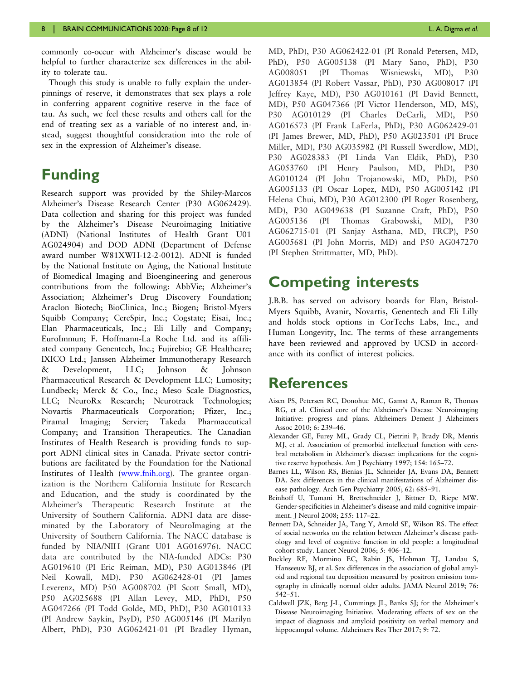<span id="page-8-0"></span>commonly co-occur with Alzheimer's disease would be helpful to further characterize sex differences in the ability to tolerate tau.

Though this study is unable to fully explain the underpinnings of reserve, it demonstrates that sex plays a role in conferring apparent cognitive reserve in the face of tau. As such, we feel these results and others call for the end of treating sex as a variable of no interest and, instead, suggest thoughtful consideration into the role of sex in the expression of Alzheimer's disease.

# Funding

Research support was provided by the Shiley-Marcos Alzheimer's Disease Research Center (P30 AG062429). Data collection and sharing for this project was funded by the Alzheimer's Disease Neuroimaging Initiative (ADNI) (National Institutes of Health Grant U01 AG024904) and DOD ADNI (Department of Defense award number W81XWH-12-2-0012). ADNI is funded by the National Institute on Aging, the National Institute of Biomedical Imaging and Bioengineering and generous contributions from the following: AbbVie; Alzheimer's Association; Alzheimer's Drug Discovery Foundation; Araclon Biotech; BioClinica, Inc.; Biogen; Bristol-Myers Squibb Company; CereSpir, Inc.; Cogstate; Eisai, Inc.; Elan Pharmaceuticals, Inc.; Eli Lilly and Company; EuroImmun; F. Hoffmann-La Roche Ltd. and its affiliated company Genentech, Inc.; Fujirebio; GE Healthcare; IXICO Ltd.; Janssen Alzheimer Immunotherapy Research & Development, LLC; Johnson & Johnson Pharmaceutical Research & Development LLC; Lumosity; Lundbeck; Merck & Co., Inc.; Meso Scale Diagnostics, LLC; NeuroRx Research; Neurotrack Technologies; Novartis Pharmaceuticals Corporation; Pfizer, Inc.; Piramal Imaging; Servier; Takeda Pharmaceutical Company; and Transition Therapeutics. The Canadian Institutes of Health Research is providing funds to support ADNI clinical sites in Canada. Private sector contributions are facilitated by the Foundation for the National Institutes of Health ([www.fnih.org\)](http://www.fnih.org). The grantee organization is the Northern California Institute for Research and Education, and the study is coordinated by the Alzheimer's Therapeutic Research Institute at the University of Southern California. ADNI data are disseminated by the Laboratory of NeuroImaging at the University of Southern California. The NACC database is funded by NIA/NIH (Grant U01 AG016976). NACC data are contributed by the NIA-funded ADCs: P30 AG019610 (PI Eric Reiman, MD), P30 AG013846 (PI Neil Kowall, MD), P30 AG062428-01 (PI James Leverenz, MD) P50 AG008702 (PI Scott Small, MD), P50 AG025688 (PI Allan Levey, MD, PhD), P50 AG047266 (PI Todd Golde, MD, PhD), P30 AG010133 (PI Andrew Saykin, PsyD), P50 AG005146 (PI Marilyn Albert, PhD), P30 AG062421-01 (PI Bradley Hyman,

MD, PhD), P30 AG062422-01 (PI Ronald Petersen, MD, PhD), P50 AG005138 (PI Mary Sano, PhD), P30 AG008051 (PI Thomas Wisniewski, MD), P30 AG013854 (PI Robert Vassar, PhD), P30 AG008017 (PI Jeffrey Kaye, MD), P30 AG010161 (PI David Bennett, MD), P50 AG047366 (PI Victor Henderson, MD, MS), P30 AG010129 (PI Charles DeCarli, MD), P50 AG016573 (PI Frank LaFerla, PhD), P30 AG062429-01 (PI James Brewer, MD, PhD), P50 AG023501 (PI Bruce Miller, MD), P30 AG035982 (PI Russell Swerdlow, MD), P30 AG028383 (PI Linda Van Eldik, PhD), P30 AG053760 (PI Henry Paulson, MD, PhD), P30 AG010124 (PI John Trojanowski, MD, PhD), P50 AG005133 (PI Oscar Lopez, MD), P50 AG005142 (PI Helena Chui, MD), P30 AG012300 (PI Roger Rosenberg, MD), P30 AG049638 (PI Suzanne Craft, PhD), P50 AG005136 (PI Thomas Grabowski, MD), P30 AG062715-01 (PI Sanjay Asthana, MD, FRCP), P50 AG005681 (PI John Morris, MD) and P50 AG047270 (PI Stephen Strittmatter, MD, PhD).

# Competing interests

J.B.B. has served on advisory boards for Elan, Bristol-Myers Squibb, Avanir, Novartis, Genentech and Eli Lilly and holds stock options in CorTechs Labs, Inc., and Human Longevity, Inc. The terms of these arrangements have been reviewed and approved by UCSD in accordance with its conflict of interest policies.

# **References**

- Aisen PS, Petersen RC, Donohue MC, Gamst A, Raman R, Thomas RG, et al. Clinical core of the Alzheimer's Disease Neuroimaging Initiative: progress and plans. Alzheimers Dement J Alzheimers Assoc 2010; 6: 239–46.
- Alexander GE, Furey ML, Grady CL, Pietrini P, Brady DR, Mentis MJ, et al. Association of premorbid intellectual function with cerebral metabolism in Alzheimer's disease: implications for the cognitive reserve hypothesis. Am J Psychiatry 1997; 154: 165–72.
- Barnes LL, Wilson RS, Bienias JL, Schneider JA, Evans DA, Bennett DA. Sex differences in the clinical manifestations of Alzheimer disease pathology. Arch Gen Psychiatry 2005; 62: 685–91.
- Beinhoff U, Tumani H, Brettschneider J, Bittner D, Riepe MW. Gender-specificities in Alzheimer's disease and mild cognitive impairment. J Neurol 2008; 255: 117–22.
- Bennett DA, Schneider JA, Tang Y, Arnold SE, Wilson RS. The effect of social networks on the relation between Alzheimer's disease pathology and level of cognitive function in old people: a longitudinal cohort study. Lancet Neurol 2006; 5: 406–12.
- Buckley RF, Mormino EC, Rabin JS, Hohman TJ, Landau S, Hanseeuw BJ, et al. Sex differences in the association of global amyloid and regional tau deposition measured by positron emission tomography in clinically normal older adults. JAMA Neurol 2019; 76: 542–51.
- Caldwell JZK, Berg J-L, Cummings JL, Banks SJ; for the Alzheimer's Disease Neuroimaging Initiative. Moderating effects of sex on the impact of diagnosis and amyloid positivity on verbal memory and hippocampal volume. Alzheimers Res Ther 2017; 9: 72.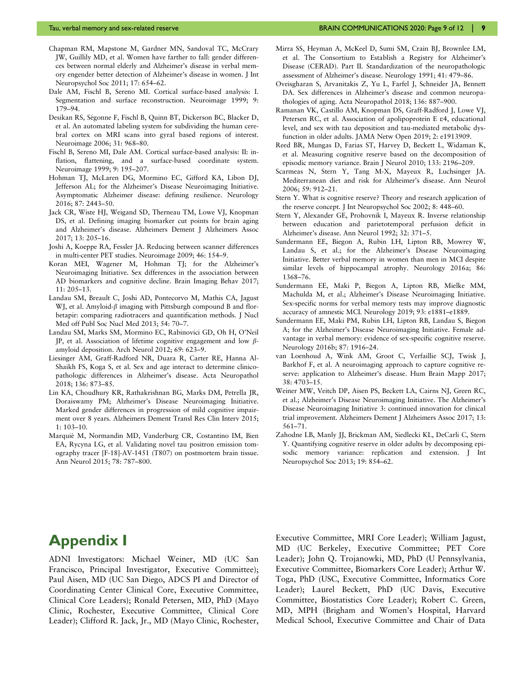- <span id="page-9-0"></span>Chapman RM, Mapstone M, Gardner MN, Sandoval TC, McCrary JW, Guillily MD, et al. Women have farther to fall: gender differences between normal elderly and Alzheimer's disease in verbal memory engender better detection of Alzheimer's disease in women. J Int Neuropsychol Soc 2011; 17: 654–62.
- Dale AM, Fischl B, Sereno MI. Cortical surface-based analysis: I. Segmentation and surface reconstruction. Neuroimage 1999; 9: 179–94.
- Desikan RS, Ségonne F, Fischl B, Quinn BT, Dickerson BC, Blacker D, et al. An automated labeling system for subdividing the human cerebral cortex on MRI scans into gyral based regions of interest. Neuroimage 2006; 31: 968–80.
- Fischl B, Sereno MI, Dale AM. Cortical surface-based analysis: II: inflation, flattening, and a surface-based coordinate system. Neuroimage 1999; 9: 195–207.
- Hohman TJ, McLaren DG, Mormino EC, Gifford KA, Libon DJ, Jefferson AL; for the Alzheimer's Disease Neuroimaging Initiative. Asymptomatic Alzheimer disease: defining resilience. Neurology 2016; 87: 2443–50.
- Jack CR, Wiste HJ, Weigand SD, Therneau TM, Lowe VJ, Knopman DS, et al. Defining imaging biomarker cut points for brain aging and Alzheimer's disease. Alzheimers Dement J Alzheimers Assoc 2017; 13: 205–16.
- Joshi A, Koeppe RA, Fessler JA. Reducing between scanner differences in multi-center PET studies. Neuroimage 2009; 46: 154–9.
- Koran MEI, Wagener M, Hohman TJ; for the Alzheimer's Neuroimaging Initiative. Sex differences in the association between AD biomarkers and cognitive decline. Brain Imaging Behav 2017; 11: 205–13.
- Landau SM, Breault C, Joshi AD, Pontecorvo M, Mathis CA, Jagust WJ, et al. Amyloid- $\beta$  imaging with Pittsburgh compound B and florbetapir: comparing radiotracers and quantification methods. J Nucl Med off Publ Soc Nucl Med 2013; 54: 70–7.
- Landau SM, Marks SM, Mormino EC, Rabinovici GD, Oh H, O'Neil JP, et al. Association of lifetime cognitive engagement and low  $\beta$ amyloid deposition. Arch Neurol 2012; 69: 623–9.
- Liesinger AM, Graff-Radford NR, Duara R, Carter RE, Hanna Al-Shaikh FS, Koga S, et al. Sex and age interact to determine clinicopathologic differences in Alzheimer's disease. Acta Neuropathol 2018; 136: 873–85.
- Lin KA, Choudhury KR, Rathakrishnan BG, Marks DM, Petrella JR, Doraiswamy PM; Alzheimer's Disease Neuroimaging Initiative. Marked gender differences in progression of mild cognitive impairment over 8 years. Alzheimers Dement Transl Res Clin Interv 2015; 1: 103–10.
- Marquié M, Normandin MD, Vanderburg CR, Costantino IM, Bien EA, Rycyna LG, et al. Validating novel tau positron emission tomography tracer [F-18]-AV-1451 (T807) on postmortem brain tissue. Ann Neurol 2015; 78: 787–800.
- Mirra SS, Heyman A, McKeel D, Sumi SM, Crain BJ, Brownlee LM, et al. The Consortium to Establish a Registry for Alzheimer's Disease (CERAD). Part II. Standardization of the neuropathologic assessment of Alzheimer's disease. Neurology 1991; 41: 479–86.
- Oveisgharan S, Arvanitakis Z, Yu L, Farfel J, Schneider JA, Bennett DA. Sex differences in Alzheimer's disease and common neuropathologies of aging. Acta Neuropathol 2018; 136: 887–900.
- Ramanan VK, Castillo AM, Knopman DS, Graff-Radford J, Lowe VJ, Petersen RC, et al. Association of apolipoprotein E  $\varepsilon$ 4, educational level, and sex with tau deposition and tau-mediated metabolic dysfunction in older adults. JAMA Netw Open 2019; 2: e1913909.
- Reed BR, Mungas D, Farias ST, Harvey D, Beckett L, Widaman K, et al. Measuring cognitive reserve based on the decomposition of episodic memory variance. Brain J Neurol 2010; 133: 2196–209.
- Scarmeas N, Stern Y, Tang M-X, Mayeux R, Luchsinger JA. Mediterranean diet and risk for Alzheimer's disease. Ann Neurol 2006; 59: 912–21.
- Stern Y. What is cognitive reserve? Theory and research application of the reserve concept. J Int Neuropsychol Soc 2002; 8: 448–60.
- Stern Y, Alexander GE, Prohovnik I, Mayeux R. Inverse relationship between education and parietotemporal perfusion deficit in Alzheimer's disease. Ann Neurol 1992; 32: 371–5.
- Sundermann EE, Biegon A, Rubin LH, Lipton RB, Mowrey W, Landau S, et al.; for the Alzheimer's Disease Neuroimaging Initiative. Better verbal memory in women than men in MCI despite similar levels of hippocampal atrophy. Neurology 2016a; 86: 1368–76.
- Sundermann EE, Maki P, Biegon A, Lipton RB, Mielke MM, Machulda M, et al.; Alzheimer's Disease Neuroimaging Initiative. Sex-specific norms for verbal memory tests may improve diagnostic accuracy of amnestic MCI. Neurology 2019; 93: e1881–e1889.
- Sundermann EE, Maki PM, Rubin LH, Lipton RB, Landau S, Biegon A; for the Alzheimer's Disease Neuroimaging Initiative. Female advantage in verbal memory: evidence of sex-specific cognitive reserve. Neurology 2016b; 87: 1916–24.
- van Loenhoud A, Wink AM, Groot C, Verfaillie SCJ, Twisk J, Barkhof F, et al. A neuroimaging approach to capture cognitive reserve: application to Alzheimer's disease. Hum Brain Mapp 2017; 38: 4703–15.
- Weiner MW, Veitch DP, Aisen PS, Beckett LA, Cairns NJ, Green RC, et al.; Alzheimer's Disease Neuroimaging Initiative. The Alzheimer's Disease Neuroimaging Initiative 3: continued innovation for clinical trial improvement. Alzheimers Dement J Alzheimers Assoc 2017; 13: 561–71.
- Zahodne LB, Manly JJ, Brickman AM, Siedlecki KL, DeCarli C, Stern Y. Quantifying cognitive reserve in older adults by decomposing episodic memory variance: replication and extension. J Int Neuropsychol Soc 2013; 19: 854–62.

# Appendix I

ADNI Investigators: Michael Weiner, MD (UC San Francisco, Principal Investigator, Executive Committee); Paul Aisen, MD (UC San Diego, ADCS PI and Director of Coordinating Center Clinical Core, Executive Committee, Clinical Core Leaders); Ronald Petersen, MD, PhD (Mayo Clinic, Rochester, Executive Committee, Clinical Core Leader); Clifford R. Jack, Jr., MD (Mayo Clinic, Rochester,

Executive Committee, MRI Core Leader); William Jagust, MD (UC Berkeley, Executive Committee; PET Core Leader); John Q. Trojanowki, MD, PhD (U Pennsylvania, Executive Committee, Biomarkers Core Leader); Arthur W. Toga, PhD (USC, Executive Committee, Informatics Core Leader); Laurel Beckett, PhD (UC Davis, Executive Committee, Biostatistics Core Leader); Robert C. Green, MD, MPH (Brigham and Women's Hospital, Harvard Medical School, Executive Committee and Chair of Data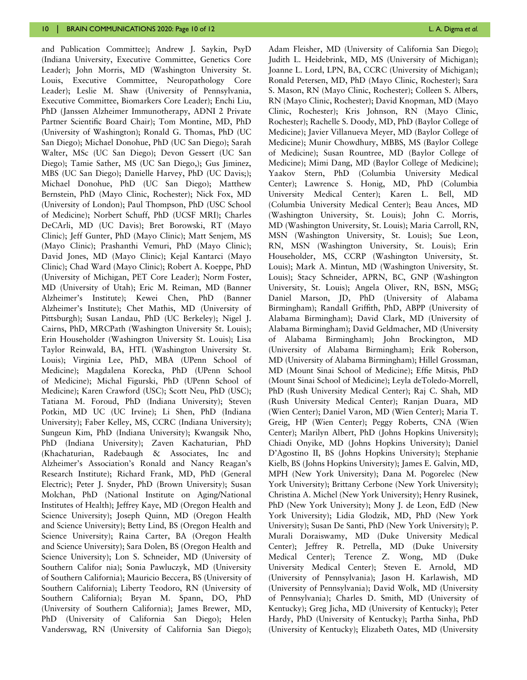and Publication Committee); Andrew J. Saykin, PsyD (Indiana University, Executive Committee, Genetics Core Leader); John Morris, MD (Washington University St. Louis, Executive Committee, Neuropathology Core Leader); Leslie M. Shaw (University of Pennsylvania, Executive Committee, Biomarkers Core Leader); Enchi Liu, PhD (Janssen Alzheimer Immunotherapy, ADNI 2 Private Partner Scientific Board Chair); Tom Montine, MD, PhD (University of Washington); Ronald G. Thomas, PhD (UC San Diego); Michael Donohue, PhD (UC San Diego); Sarah Walter, MSc (UC San Diego); Devon Gessert (UC San Diego); Tamie Sather, MS (UC San Diego,); Gus Jiminez, MBS (UC San Diego); Danielle Harvey, PhD (UC Davis;); Michael Donohue, PhD (UC San Diego); Matthew Bernstein, PhD (Mayo Clinic, Rochester); Nick Fox, MD (University of London); Paul Thompson, PhD (USC School of Medicine); Norbert Schuff, PhD (UCSF MRI); Charles DeCArli, MD (UC Davis); Bret Borowski, RT (Mayo Clinic); Jeff Gunter, PhD (Mayo Clinic); Matt Senjem, MS (Mayo Clinic); Prashanthi Vemuri, PhD (Mayo Clinic); David Jones, MD (Mayo Clinic); Kejal Kantarci (Mayo Clinic); Chad Ward (Mayo Clinic); Robert A. Koeppe, PhD (University of Michigan, PET Core Leader); Norm Foster, MD (University of Utah); Eric M. Reiman, MD (Banner Alzheimer's Institute); Kewei Chen, PhD (Banner Alzheimer's Institute); Chet Mathis, MD (University of Pittsburgh); Susan Landau, PhD (UC Berkeley); Nigel J. Cairns, PhD, MRCPath (Washington University St. Louis); Erin Householder (Washington University St. Louis); Lisa Taylor Reinwald, BA, HTL (Washington University St. Louis); Virginia Lee, PhD, MBA (UPenn School of Medicine); Magdalena Korecka, PhD (UPenn School of Medicine); Michal Figurski, PhD (UPenn School of Medicine); Karen Crawford (USC); Scott Neu, PhD (USC); Tatiana M. Foroud, PhD (Indiana University); Steven Potkin, MD UC (UC Irvine); Li Shen, PhD (Indiana University); Faber Kelley, MS, CCRC (Indiana University); Sungeun Kim, PhD (Indiana University); Kwangsik Nho, PhD (Indiana University); Zaven Kachaturian, PhD (Khachaturian, Radebaugh & Associates, Inc and Alzheimer's Association's Ronald and Nancy Reagan's Research Institute); Richard Frank, MD, PhD (General Electric); Peter J. Snyder, PhD (Brown University); Susan Molchan, PhD (National Institute on Aging/National Institutes of Health); Jeffrey Kaye, MD (Oregon Health and Science University); Joseph Quinn, MD (Oregon Health and Science University); Betty Lind, BS (Oregon Health and Science University); Raina Carter, BA (Oregon Health and Science University); Sara Dolen, BS (Oregon Health and Science University); Lon S. Schneider, MD (University of Southern Califor nia); Sonia Pawluczyk, MD (University of Southern California); Mauricio Beccera, BS (University of Southern California); Liberty Teodoro, RN (University of Southern California); Bryan M. Spann, DO, PhD (University of Southern California); James Brewer, MD, PhD (University of California San Diego); Helen Vanderswag, RN (University of California San Diego);

Adam Fleisher, MD (University of California San Diego); Judith L. Heidebrink, MD, MS (University of Michigan); Joanne L. Lord, LPN, BA, CCRC (University of Michigan); Ronald Petersen, MD, PhD (Mayo Clinic, Rochester); Sara S. Mason, RN (Mayo Clinic, Rochester); Colleen S. Albers, RN (Mayo Clinic, Rochester); David Knopman, MD (Mayo Clinic, Rochester); Kris Johnson, RN (Mayo Clinic, Rochester); Rachelle S. Doody, MD, PhD (Baylor College of Medicine); Javier Villanueva Meyer, MD (Baylor College of Medicine); Munir Chowdhury, MBBS, MS (Baylor College of Medicine); Susan Rountree, MD (Baylor College of Medicine); Mimi Dang, MD (Baylor College of Medicine); Yaakov Stern, PhD (Columbia University Medical Center); Lawrence S. Honig, MD, PhD (Columbia University Medical Center); Karen L. Bell, MD (Columbia University Medical Center); Beau Ances, MD (Washington University, St. Louis); John C. Morris, MD (Washington University, St. Louis); Maria Carroll, RN, MSN (Washington University, St. Louis); Sue Leon, RN, MSN (Washington University, St. Louis); Erin Householder, MS, CCRP (Washington University, St. Louis); Mark A. Mintun, MD (Washington University, St. Louis); Stacy Schneider, APRN, BC, GNP (Washington University, St. Louis); Angela Oliver, RN, BSN, MSG; Daniel Marson, JD, PhD (University of Alabama Birmingham); Randall Griffith, PhD, ABPP (University of Alabama Birmingham); David Clark, MD (University of Alabama Birmingham); David Geldmacher, MD (University of Alabama Birmingham); John Brockington, MD (University of Alabama Birmingham); Erik Roberson, MD (University of Alabama Birmingham); Hillel Grossman, MD (Mount Sinai School of Medicine); Effie Mitsis, PhD (Mount Sinai School of Medicine); Leyla deToledo-Morrell, PhD (Rush University Medical Center); Raj C. Shah, MD (Rush University Medical Center); Ranjan Duara, MD (Wien Center); Daniel Varon, MD (Wien Center); Maria T. Greig, HP (Wien Center); Peggy Roberts, CNA (Wien Center); Marilyn Albert, PhD (Johns Hopkins University); Chiadi Onyike, MD (Johns Hopkins University); Daniel D'Agostino II, BS (Johns Hopkins University); Stephanie Kielb, BS (Johns Hopkins University); James E. Galvin, MD, MPH (New York University); Dana M. Pogorelec (New York University); Brittany Cerbone (New York University); Christina A. Michel (New York University); Henry Rusinek, PhD (New York University); Mony J. de Leon, EdD (New York University); Lidia Glodzik, MD, PhD (New York University); Susan De Santi, PhD (New York University); P. Murali Doraiswamy, MD (Duke University Medical Center); Jeffrey R. Petrella, MD (Duke University Medical Center); Terence Z. Wong, MD (Duke University Medical Center); Steven E. Arnold, MD (University of Pennsylvania); Jason H. Karlawish, MD (University of Pennsylvania); David Wolk, MD (University of Pennsylvania); Charles D. Smith, MD (University of Kentucky); Greg Jicha, MD (University of Kentucky); Peter Hardy, PhD (University of Kentucky); Partha Sinha, PhD (University of Kentucky); Elizabeth Oates, MD (University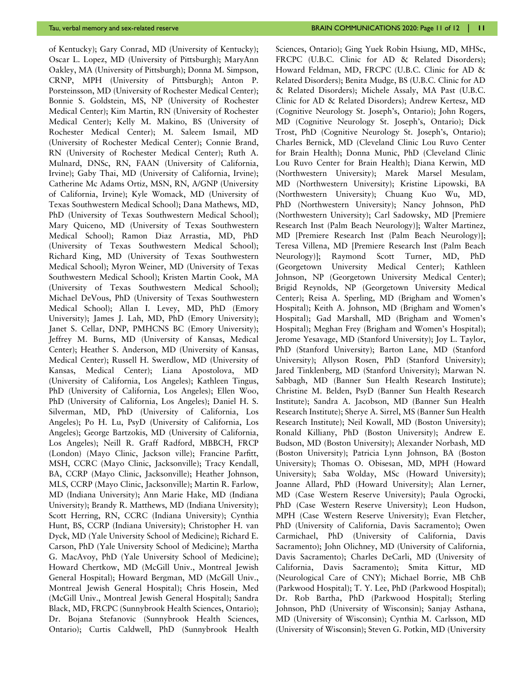of Kentucky); Gary Conrad, MD (University of Kentucky); Oscar L. Lopez, MD (University of Pittsburgh); MaryAnn Oakley, MA (University of Pittsburgh); Donna M. Simpson, CRNP, MPH (University of Pittsburgh); Anton P. Porsteinsson, MD (University of Rochester Medical Center); Bonnie S. Goldstein, MS, NP (University of Rochester Medical Center); Kim Martin, RN (University of Rochester Medical Center); Kelly M. Makino, BS (University of Rochester Medical Center); M. Saleem Ismail, MD (University of Rochester Medical Center); Connie Brand, RN (University of Rochester Medical Center); Ruth A. Mulnard, DNSc, RN, FAAN (University of California, Irvine); Gaby Thai, MD (University of California, Irvine); Catherine Mc Adams Ortiz, MSN, RN, A/GNP (University of California, Irvine); Kyle Womack, MD (University of Texas Southwestern Medical School); Dana Mathews, MD, PhD (University of Texas Southwestern Medical School); Mary Quiceno, MD (University of Texas Southwestern Medical School); Ramon Diaz Arrastia, MD, PhD (University of Texas Southwestern Medical School); Richard King, MD (University of Texas Southwestern Medical School); Myron Weiner, MD (University of Texas Southwestern Medical School); Kristen Martin Cook, MA (University of Texas Southwestern Medical School); Michael DeVous, PhD (University of Texas Southwestern Medical School); Allan I. Levey, MD, PhD (Emory University); James J. Lah, MD, PhD (Emory University); Janet S. Cellar, DNP, PMHCNS BC (Emory University); Jeffrey M. Burns, MD (University of Kansas, Medical Center); Heather S. Anderson, MD (University of Kansas, Medical Center); Russell H. Swerdlow, MD (University of Kansas, Medical Center); Liana Apostolova, MD (University of California, Los Angeles); Kathleen Tingus, PhD (University of California, Los Angeles); Ellen Woo, PhD (University of California, Los Angeles); Daniel H. S. Silverman, MD, PhD (University of California, Los Angeles); Po H. Lu, PsyD (University of California, Los Angeles); George Bartzokis, MD (University of California, Los Angeles); Neill R. Graff Radford, MBBCH, FRCP (London) (Mayo Clinic, Jackson ville); Francine Parfitt, MSH, CCRC (Mayo Clinic, Jacksonville); Tracy Kendall, BA, CCRP (Mayo Clinic, Jacksonville); Heather Johnson, MLS, CCRP (Mayo Clinic, Jacksonville); Martin R. Farlow, MD (Indiana University); Ann Marie Hake, MD (Indiana University); Brandy R. Matthews, MD (Indiana University); Scott Herring, RN, CCRC (Indiana University); Cynthia Hunt, BS, CCRP (Indiana University); Christopher H. van Dyck, MD (Yale University School of Medicine); Richard E. Carson, PhD (Yale University School of Medicine); Martha G. MacAvoy, PhD (Yale University School of Medicine); Howard Chertkow, MD (McGill Univ., Montreal Jewish General Hospital); Howard Bergman, MD (McGill Univ., Montreal Jewish General Hospital); Chris Hosein, Med (McGill Univ., Montreal Jewish General Hospital); Sandra Black, MD, FRCPC (Sunnybrook Health Sciences, Ontario); Dr. Bojana Stefanovic (Sunnybrook Health Sciences, Ontario); Curtis Caldwell, PhD (Sunnybrook Health

Sciences, Ontario); Ging Yuek Robin Hsiung, MD, MHSc, FRCPC (U.B.C. Clinic for AD & Related Disorders); Howard Feldman, MD, FRCPC (U.B.C. Clinic for AD & Related Disorders); Benita Mudge, BS (U.B.C. Clinic for AD & Related Disorders); Michele Assaly, MA Past (U.B.C. Clinic for AD & Related Disorders); Andrew Kertesz, MD (Cognitive Neurology St. Joseph's, Ontario); John Rogers, MD (Cognitive Neurology St. Joseph's, Ontario); Dick Trost, PhD (Cognitive Neurology St. Joseph's, Ontario); Charles Bernick, MD (Cleveland Clinic Lou Ruvo Center for Brain Health); Donna Munic, PhD (Cleveland Clinic Lou Ruvo Center for Brain Health); Diana Kerwin, MD (Northwestern University); Marek Marsel Mesulam, MD (Northwestern University); Kristine Lipowski, BA (Northwestern University); Chuang Kuo Wu, MD, PhD (Northwestern University); Nancy Johnson, PhD (Northwestern University); Carl Sadowsky, MD [Premiere Research Inst (Palm Beach Neurology)]; Walter Martinez, MD [Premiere Research Inst (Palm Beach Neurology)]; Teresa Villena, MD [Premiere Research Inst (Palm Beach Neurology)]; Raymond Scott Turner, MD, PhD (Georgetown University Medical Center); Kathleen Johnson, NP (Georgetown University Medical Center); Brigid Reynolds, NP (Georgetown University Medical Center); Reisa A. Sperling, MD (Brigham and Women's Hospital); Keith A. Johnson, MD (Brigham and Women's Hospital); Gad Marshall, MD (Brigham and Women's Hospital); Meghan Frey (Brigham and Women's Hospital); Jerome Yesavage, MD (Stanford University); Joy L. Taylor, PhD (Stanford University); Barton Lane, MD (Stanford University); Allyson Rosen, PhD (Stanford University); Jared Tinklenberg, MD (Stanford University); Marwan N. Sabbagh, MD (Banner Sun Health Research Institute); Christine M. Belden, PsyD (Banner Sun Health Research Institute); Sandra A. Jacobson, MD (Banner Sun Health Research Institute); Sherye A. Sirrel, MS (Banner Sun Health Research Institute); Neil Kowall, MD (Boston University); Ronald Killiany, PhD (Boston University); Andrew E. Budson, MD (Boston University); Alexander Norbash, MD (Boston University); Patricia Lynn Johnson, BA (Boston University); Thomas O. Obisesan, MD, MPH (Howard University); Saba Wolday, MSc (Howard University); Joanne Allard, PhD (Howard University); Alan Lerner, MD (Case Western Reserve University); Paula Ogrocki, PhD (Case Western Reserve University); Leon Hudson, MPH (Case Western Reserve University); Evan Fletcher, PhD (University of California, Davis Sacramento); Owen Carmichael, PhD (University of California, Davis Sacramento); John Olichney, MD (University of California, Davis Sacramento); Charles DeCarli, MD (University of California, Davis Sacramento); Smita Kittur, MD (Neurological Care of CNY); Michael Borrie, MB ChB (Parkwood Hospital); T. Y. Lee, PhD (Parkwood Hospital); Dr. Rob Bartha, PhD (Parkwood Hospital); Sterling Johnson, PhD (University of Wisconsin); Sanjay Asthana, MD (University of Wisconsin); Cynthia M. Carlsson, MD (University of Wisconsin); Steven G. Potkin, MD (University